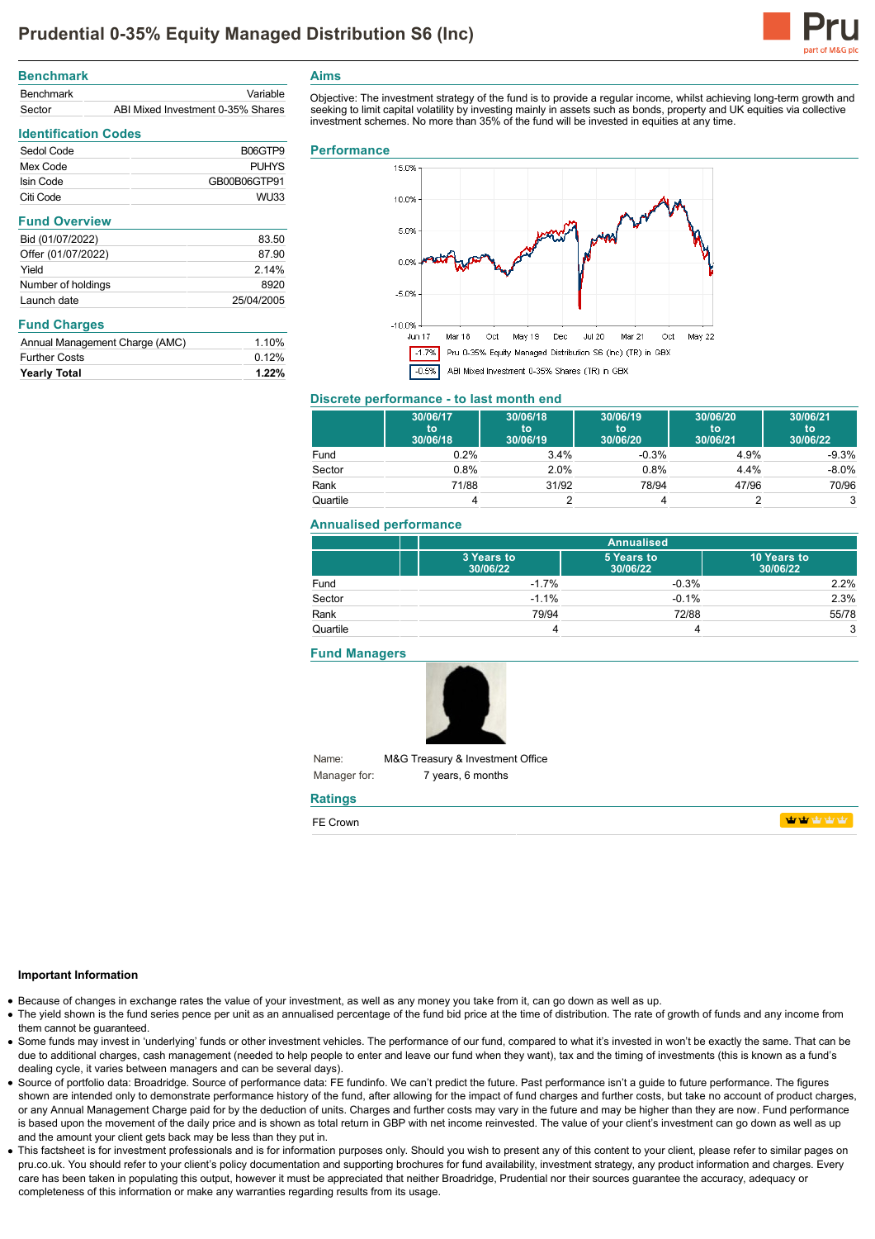

| <b>Benchmark</b> |                                   |
|------------------|-----------------------------------|
| <b>Benchmark</b> | Variable                          |
| Sector           | ABI Mixed Investment 0-35% Shares |

Sedol Code B06GTP9 Mex Code PUHYS Isin Code GB00B06GTP91 Citi Code WU33

Bid (01/07/2022) 83.50 Offer (01/07/2022) 87.90 Yield 2.14% Number of holdings 8920 Launch date 25/04/2005

Annual Management Charge (AMC) 1.10% Further Costs 0.12% **Yearly Total 1.22%**

**Identification Codes**

**Fund Overview**

**Fund Charges**

### **Aims**

Objective: The investment strategy of the fund is to provide a regular income, whilst achieving long-term growth and seeking to limit capital volatility by investing mainly in assets such as bonds, property and UK equities via collective investment schemes. No more than 35% of the fund will be invested in equities at any time.

#### **Performance**



#### **Discrete performance - to last month end**

|          | 30/06/17<br>to<br>30/06/18 | 30/06/18<br>to<br>30/06/19 | 30/06/19<br>to<br>30/06/20 | 30/06/20<br>to<br>30/06/21 | 30/06/21<br>to<br>30/06/22 |
|----------|----------------------------|----------------------------|----------------------------|----------------------------|----------------------------|
| Fund     | $0.2\%$                    | 3.4%                       | $-0.3%$                    | 4.9%                       | $-9.3%$                    |
| Sector   | $0.8\%$                    | 2.0%                       | 0.8%                       | 4.4%                       | $-8.0\%$                   |
| Rank     | 71/88                      | 31/92                      | 78/94                      | 47/96                      | 70/96                      |
| Quartile |                            |                            |                            |                            |                            |

### **Annualised performance**

|          | <b>Annualised</b>      |                        |                         |
|----------|------------------------|------------------------|-------------------------|
|          | 3 Years to<br>30/06/22 | 5 Years to<br>30/06/22 | 10 Years to<br>30/06/22 |
| Fund     | $-1.7%$                | $-0.3%$                | 2.2%                    |
| Sector   | $-1.1%$                | $-0.1%$                | 2.3%                    |
| Rank     | 79/94                  | 72/88                  | 55/78                   |
| Quartile |                        |                        | 3                       |

**Fund Managers**



Name: Manager for: M&G Treasury & Investment Office 7 years, 6 months

# **Ratings**

| $-$<br>.<br>. אור |  |  |
|-------------------|--|--|
|                   |  |  |

### **Important Information**

- Because of changes in exchange rates the value of your investment, as well as any money you take from it, can go down as well as up.
- The yield shown is the fund series pence per unit as an annualised percentage of the fund bid price at the time of distribution. The rate of growth of funds and any income from them cannot be guaranteed.
- Some funds may invest in 'underlying' funds or other investment vehicles. The performance of our fund, compared to what it's invested in won't be exactly the same. That can be due to additional charges, cash management (needed to help people to enter and leave our fund when they want), tax and the timing of investments (this is known as a fund's dealing cycle, it varies between managers and can be several days).
- Source of portfolio data: Broadridge. Source of performance data: FE fundinfo. We can't predict the future. Past performance isn't a guide to future performance. The figures shown are intended only to demonstrate performance history of the fund, after allowing for the impact of fund charges and further costs, but take no account of product charges, or any Annual Management Charge paid for by the deduction of units. Charges and further costs may vary in the future and may be higher than they are now. Fund performance is based upon the movement of the daily price and is shown as total return in GBP with net income reinvested. The value of your client's investment can go down as well as up and the amount your client gets back may be less than they put in.
- This factsheet is for investment professionals and is for information purposes only. Should you wish to present any of this content to your client, please refer to similar pages on pru.co.uk. You should refer to your client's policy documentation and supporting brochures for fund availability, investment strategy, any product information and charges. Every care has been taken in populating this output, however it must be appreciated that neither Broadridge. Prudential nor their sources guarantee the accuracy, adequacy or completeness of this information or make any warranties regarding results from its usage.